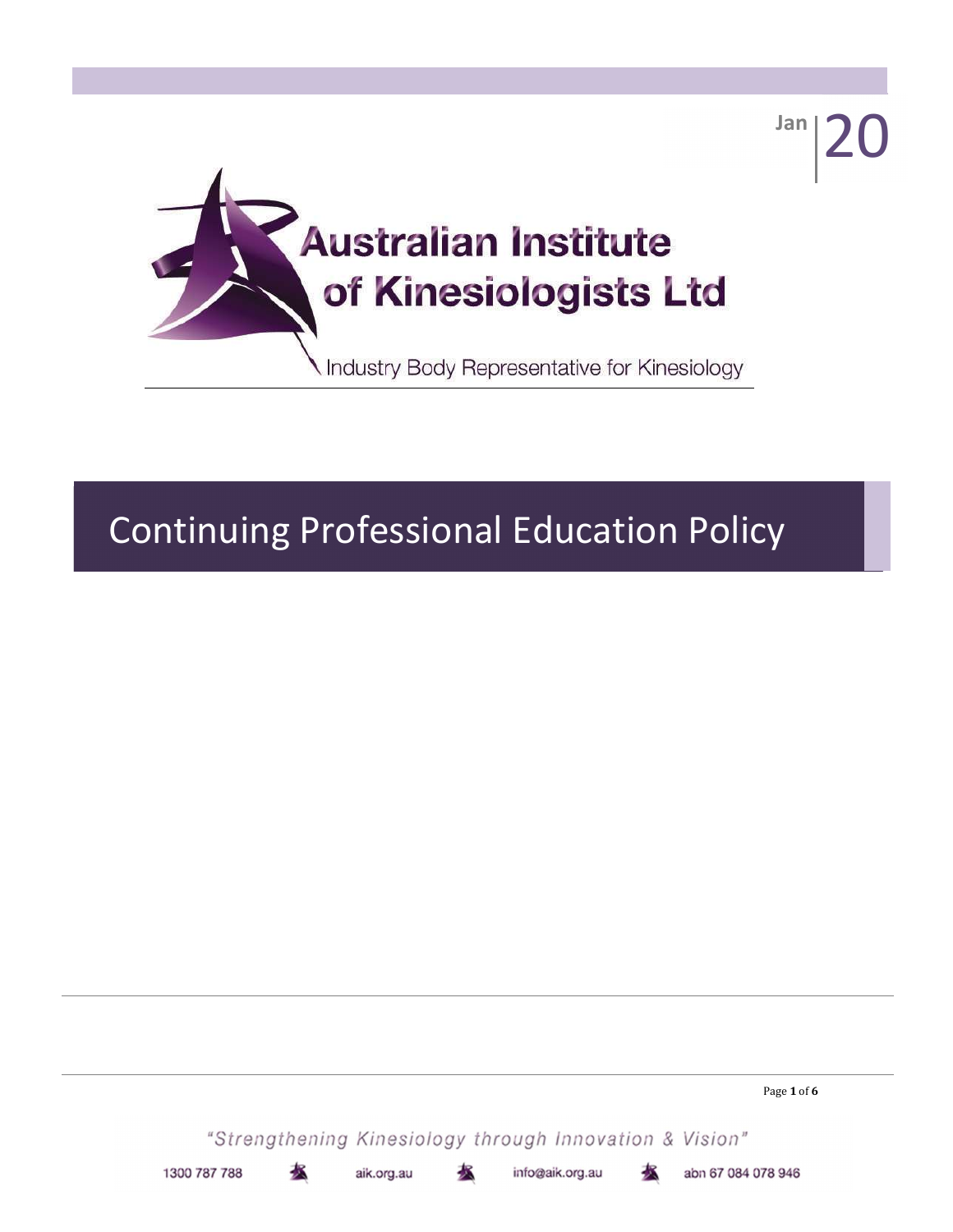

# Continuing Professional Education Policy

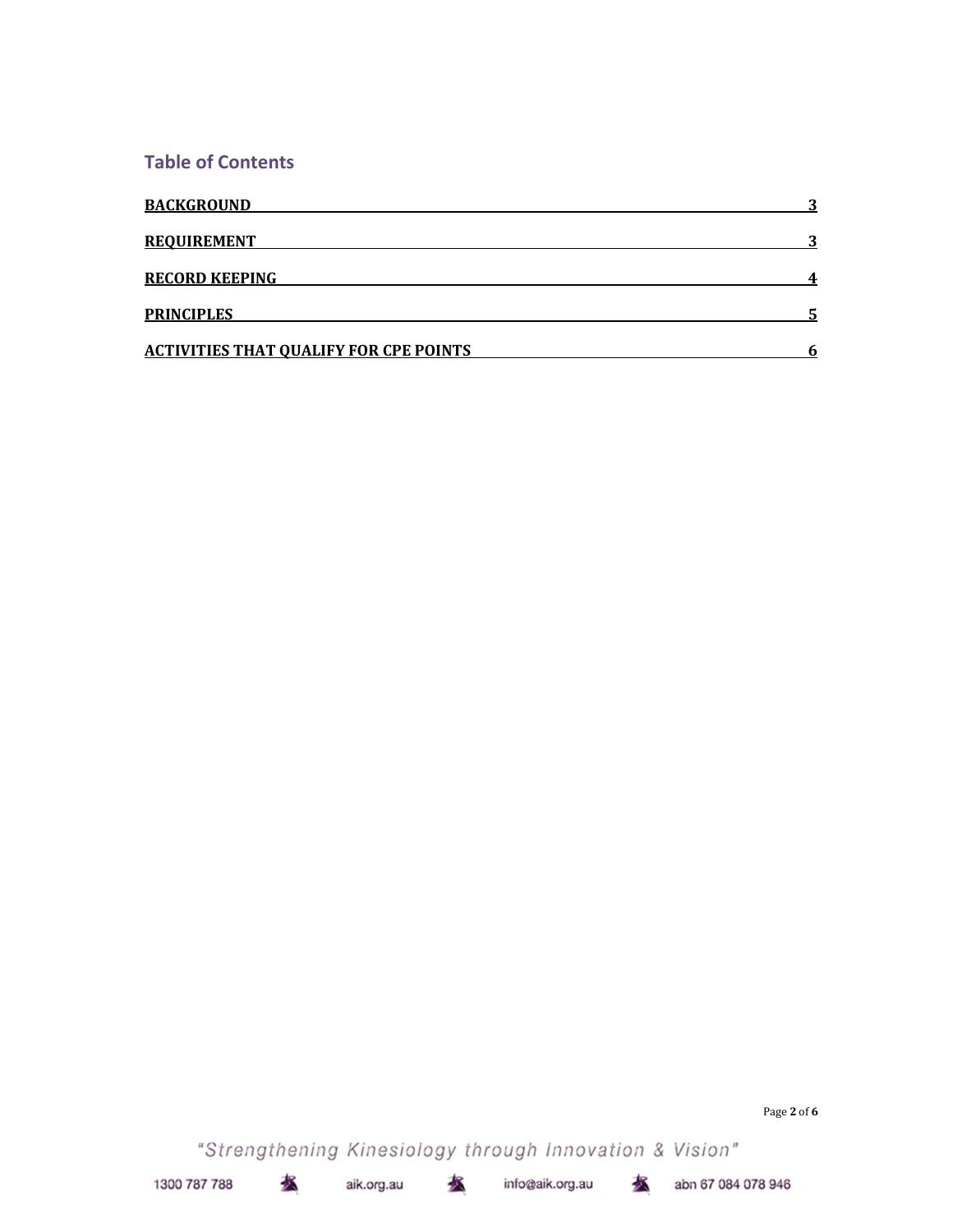#### Table of Contents

| <b>BACKGROUND</b>                             |  |
|-----------------------------------------------|--|
| <b>REQUIREMENT</b>                            |  |
| <b>RECORD KEEPING</b>                         |  |
| <b>PRINCIPLES</b>                             |  |
| <b>ACTIVITIES THAT QUALIFY FOR CPE POINTS</b> |  |

Page 2 of 6

"Strengthening Kinesiology through Innovation & Vision"

水

水

aik.org.au

info@aik.org.au

水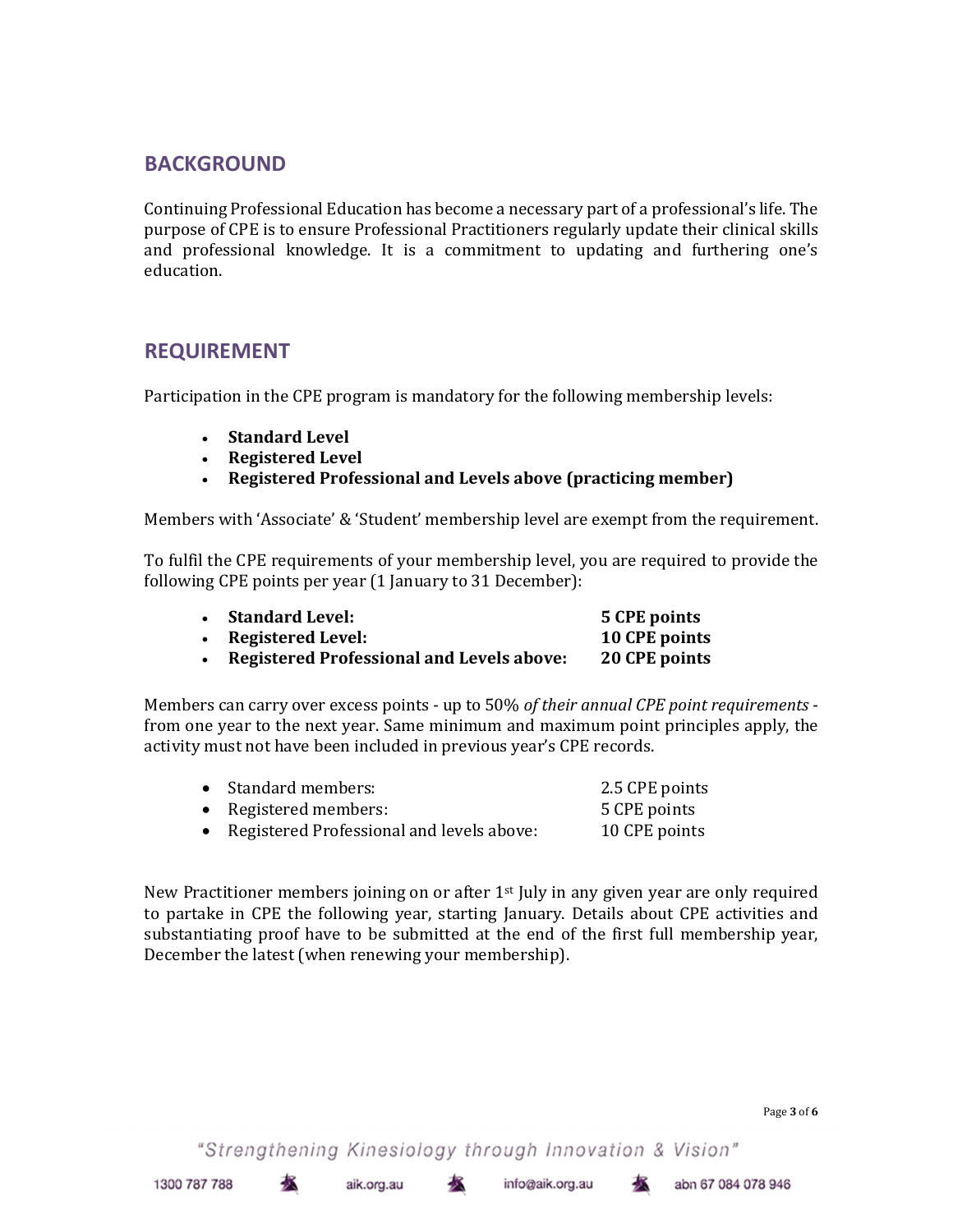## BACKGROUND

Continuing Professional Education has become a necessary part of a professional's life. The purpose of CPE is to ensure Professional Practitioners regularly update their clinical skills and professional knowledge. It is a commitment to updating and furthering one's education.

## REQUIREMENT

Participation in the CPE program is mandatory for the following membership levels:

- Standard Level
- Registered Level
- Registered Professional and Levels above (practicing member)

Members with 'Associate' & 'Student' membership level are exempt from the requirement.

To fulfil the CPE requirements of your membership level, you are required to provide the following CPE points per year (1 January to 31 December):

| <b>Standard Level:</b>                           | 5 CPE points  |
|--------------------------------------------------|---------------|
| <b>Registered Level:</b>                         | 10 CPE points |
| <b>Registered Professional and Levels above:</b> | 20 CPE points |

Members can carry over excess points - up to 50% of their annual CPE point requirements from one year to the next year. Same minimum and maximum point principles apply, the activity must not have been included in previous year's CPE records.

| • Standard members:                         | 2.5 CPE points |
|---------------------------------------------|----------------|
| • Registered members:                       | 5 CPE points   |
| • Registered Professional and levels above: | 10 CPE points  |

New Practitioner members joining on or after 1st July in any given year are only required to partake in CPE the following year, starting January. Details about CPE activities and substantiating proof have to be submitted at the end of the first full membership year, December the latest (when renewing your membership).

"Strengthening Kinesiology through Innovation & Vision"

aik.org.au

术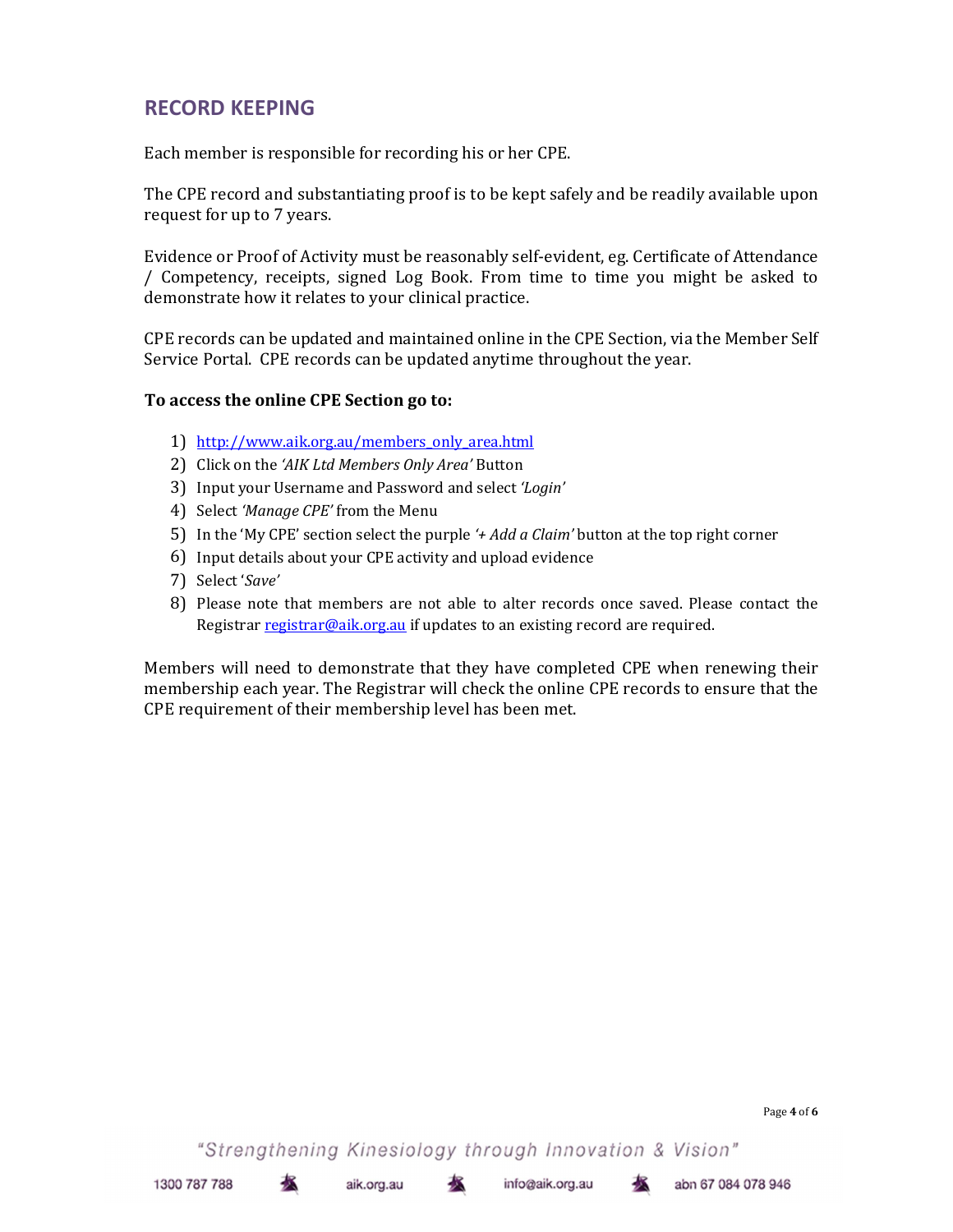## RECORD KEEPING

Each member is responsible for recording his or her CPE.

The CPE record and substantiating proof is to be kept safely and be readily available upon request for up to 7 years.

Evidence or Proof of Activity must be reasonably self-evident, eg. Certificate of Attendance / Competency, receipts, signed Log Book. From time to time you might be asked to demonstrate how it relates to your clinical practice.

CPE records can be updated and maintained online in the CPE Section, via the Member Self Service Portal. CPE records can be updated anytime throughout the year.

#### To access the online CPE Section go to:

- 1) http://www.aik.org.au/members\_only\_area.html
- 2) Click on the 'AIK Ltd Members Only Area' Button
- 3) Input your Username and Password and select 'Login'
- 4) Select 'Manage CPE' from the Menu
- 5) In the 'My CPE' section select the purple '+ Add a Claim' button at the top right corner
- 6) Input details about your CPE activity and upload evidence
- 7) Select 'Save'
- 8) Please note that members are not able to alter records once saved. Please contact the Registrar registrar@aik.org.au if updates to an existing record are required.

Members will need to demonstrate that they have completed CPE when renewing their membership each year. The Registrar will check the online CPE records to ensure that the CPE requirement of their membership level has been met.

"Strengthening Kinesiology through Innovation & Vision"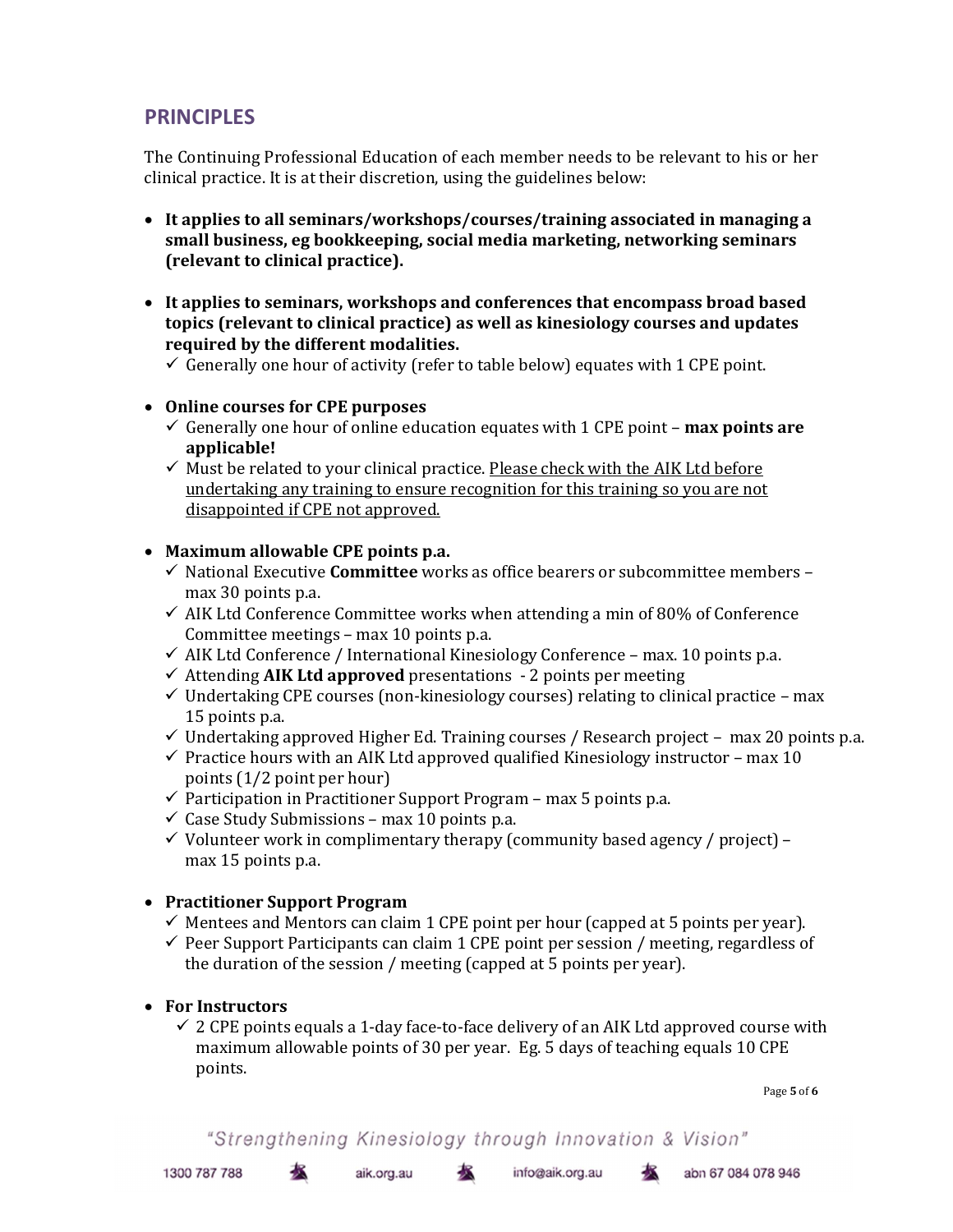## **PRINCIPLES**

The Continuing Professional Education of each member needs to be relevant to his or her clinical practice. It is at their discretion, using the guidelines below:

- It applies to all seminars/workshops/courses/training associated in managing a small business, eg bookkeeping, social media marketing, networking seminars (relevant to clinical practice).
- It applies to seminars, workshops and conferences that encompass broad based topics (relevant to clinical practice) as well as kinesiology courses and updates required by the different modalities.
	- $\checkmark$  Generally one hour of activity (refer to table below) equates with 1 CPE point.
- Online courses for CPE purposes
	- Generally one hour of online education equates with 1 CPE point **max points are** applicable!
	- $\checkmark$  Must be related to your clinical practice. Please check with the AIK Ltd before undertaking any training to ensure recognition for this training so you are not disappointed if CPE not approved.

## Maximum allowable CPE points p.a.

- $\checkmark$  National Executive **Committee** works as office bearers or subcommittee members max 30 points p.a.
- $\checkmark$  AIK Ltd Conference Committee works when attending a min of 80% of Conference Committee meetings – max 10 points p.a.
- $\checkmark$  AIK Ltd Conference / International Kinesiology Conference max. 10 points p.a.
- $\checkmark$  Attending AIK Ltd approved presentations 2 points per meeting
- $\checkmark$  Undertaking CPE courses (non-kinesiology courses) relating to clinical practice max 15 points p.a.
- $\checkmark$  Undertaking approved Higher Ed. Training courses / Research project max 20 points p.a.
- $\checkmark$  Practice hours with an AIK Ltd approved qualified Kinesiology instructor max 10 points (1/2 point per hour)
- $\checkmark$  Participation in Practitioner Support Program max 5 points p.a.
- $\checkmark$  Case Study Submissions max 10 points p.a.
- $\checkmark$  Volunteer work in complimentary therapy (community based agency / project) max 15 points p.a.

## • Practitioner Support Program

基

- $\checkmark$  Mentees and Mentors can claim 1 CPE point per hour (capped at 5 points per year).
- $\checkmark$  Peer Support Participants can claim 1 CPE point per session / meeting, regardless of the duration of the session / meeting (capped at 5 points per year).

## • For Instructors

 $\checkmark$  2 CPE points equals a 1-day face-to-face delivery of an AIK Ltd approved course with maximum allowable points of 30 per year. Eg. 5 days of teaching equals 10 CPE points.

Page 5 of 6

```
"Strengthening Kinesiology through Innovation & Vision"
```
aik.org.au

info@aik.org.au